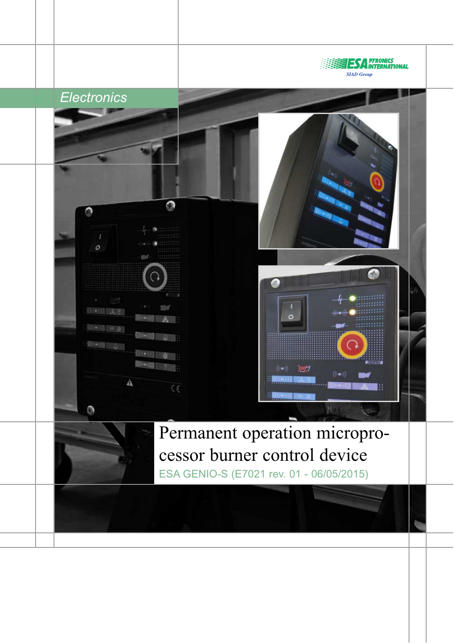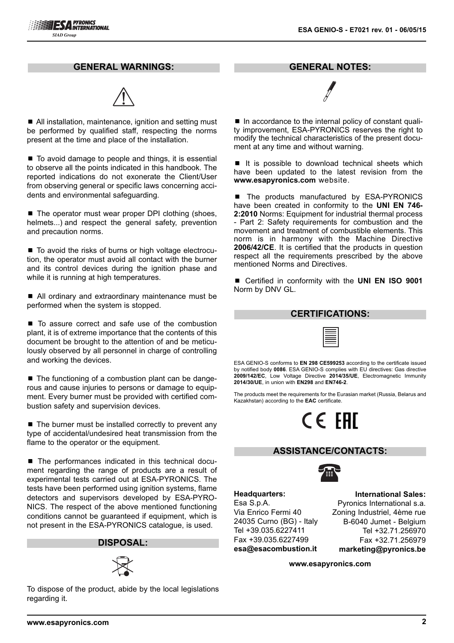**IESA** PYRONICS<br>**IESA** INTERNATIONAL

**SIAD Group** 



**GENERAL WARNINGS:**

■ All installation, maintenance, ignition and setting must be performed by qualified staff, respecting the norms present at the time and place of the installation.

 $\blacksquare$  To avoid damage to people and things, it is essential to observe all the points indicated in this handbook. The reported indications do not exonerate the Client/User from observing general or specific laws concerning accidents and environmental safeguarding.

 $\blacksquare$  The operator must wear proper DPI clothing (shoes, helmets...) and respect the general safety, prevention and precaution norms.

■ To avoid the risks of burns or high voltage electrocution, the operator must avoid all contact with the burner and its control devices during the ignition phase and while it is running at high temperatures.

■ All ordinary and extraordinary maintenance must be performed when the system is stopped.

■ To assure correct and safe use of the combustion plant, it is of extreme importance that the contents of this document be brought to the attention of and be meticulously observed by all personnel in charge of controlling and working the devices.

■ The functioning of a combustion plant can be dangerous and cause injuries to persons or damage to equipment. Every burner must be provided with certified combustion safety and supervision devices.

 $\blacksquare$  The burner must be installed correctly to prevent any type of accidental/undesired heat transmission from the flame to the operator or the equipment.

■ The performances indicated in this technical document regarding the range of products are a result of experimental tests carried out at ESA-PYRONICS. The tests have been performed using ignition systems, flame detectors and supervisors developed by ESA-PYRO-NICS. The respect of the above mentioned functioning conditions cannot be guaranteed if equipment, which is not present in the ESA-PYRONICS catalogue, is used.

### **DISPOSAL:**



To dispose of the product, abide by the local legislations regarding it.

**GENERAL NOTES:**

■ In accordance to the internal policy of constant quality improvement, ESA-PYRONICS reserves the right to modify the technical characteristics of the present document at any time and without warning.

 $\blacksquare$  It is possible to download technical sheets which have been updated to the latest revision from the **www.esapyronics.com** website.

■ The products manufactured by ESA-PYRONICS have been created in conformity to the **UNI EN 746- 2:2010** Norms: Equipment for industrial thermal process - Part 2: Safety requirements for combustion and the movement and treatment of combustible elements. This norm is in harmony with the Machine Directive **2006/42/CE**. It is certified that the products in question respect all the requirements prescribed by the above mentioned Norms and Directives.

■ Certified in conformity with the **UNI EN ISO 9001** Norm by DNV GL.

| <b>CERTIFICATIONS:</b> |  |  |  |
|------------------------|--|--|--|
|                        |  |  |  |

ESA GENIO-S conforms to **EN 298 CE599253** according to the certificate issued by notified body **0086**. ESA GENIO-S complies with EU directives: Gas directive **2009/142/EC**, Low Voltage Directive **2014/35/UE**, Electromagnetic Immunity **2014/30/UE**, in union with **EN298** and **EN746-2**.

The products meet the requirements for the Eurasian market (Russia, Belarus and Kazakhstan) according to the **EAC** certificate.

# CE FAI

#### **ASSISTANCE/CONTACTS:**



**Headquarters:** Esa S.p.A. Via Enrico Fermi 40 24035 Curno (BG) - Italy Tel +39.035.6227411 Fax +39.035.6227499 **esa@esacombustion.it**

**International Sales:** Pyronics International s.a. Zoning Industriel, 4ème rue B-6040 Jumet - Belgium Tel +32.71.256970 Fax +32.71.256979 **marketing@pyronics.be**

**www.esapyronics.com**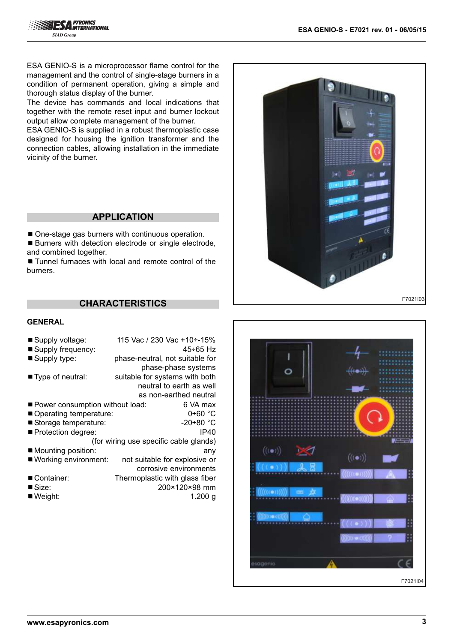ESA GENIO-S is a microprocessor flame control for the management and the control of single-stage burners in a condition of permanent operation, giving a simple and thorough status display of the burner.

The device has commands and local indications that together with the remote reset input and burner lockout output allow complete management of the burner.

ESA GENIO-S is supplied in a robust thermoplastic case designed for housing the ignition transformer and the connection cables, allowing installation in the immediate vicinity of the burner.

# **APPLICATION**

■ One-stage gas burners with continuous operation.

■ Burners with detection electrode or single electrode, and combined together.

■ Tunnel furnaces with local and remote control of the burners.

# **CHARACTERISTICS**

#### **GENERAL**

| ■ Supply voltage:                 | 115 Vac / 230 Vac +10÷-15%             |
|-----------------------------------|----------------------------------------|
| ■ Supply frequency:               | 45÷65 Hz                               |
| ■ Supply type:                    | phase-neutral, not suitable for        |
|                                   | phase-phase systems                    |
| ■ Type of neutral:                | suitable for systems with both         |
|                                   | neutral to earth as well               |
|                                   | as non-earthed neutral                 |
| ■ Power consumption without load: | ნ VA max                               |
| Operating temperature:            | $0+60$ °C                              |
| Storage temperature:              | $-20+80 °C$                            |
| ■ Protection degree:              | IP40                                   |
|                                   | (for wiring use specific cable glands) |
| $\blacksquare$ Mounting position: | any                                    |
| ■ Working environment:            | not suitable for explosive or          |
|                                   | corrosive environments                 |
| ■ Container:                      | Thermoplastic with glass fiber         |
| ■ Size:                           | 200×120×98 mm                          |
| $\blacksquare$ Weight:            | 1.200 $g$                              |
|                                   |                                        |



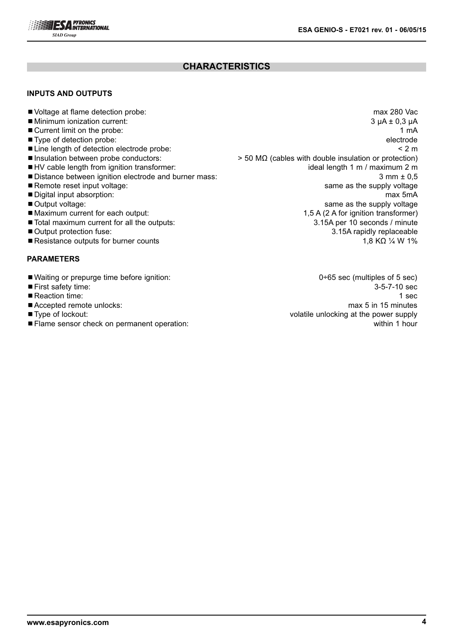

# **CHARACTERISTICS**

#### **INPUTS AND OUTPUTS**

- 
- $\blacksquare$  Minimum ionization current:
- 
- 
- 
- 
- 
- 
- 
- 
- 
- 
- 
- 
- ■Resistance outputs for burner counts 1,8 KΩ ¼ W 1%

#### **PARAMETERS**

- Waiting or prepurge time before ignition: 0÷65 sec (multiples of 5 sec)
- 
- 
- 
- 
- ¾Flame sensor check on permanent operation: within 1 hour

■ Voltage at flame detection probe: max 280 Vac<br>■ Minimum ionization current: 3 µA ± 0,3 µA ■ Current limit on the probe: 1 mA ■ Type of detection probe: electrode electrode electrode electrode electrode electrode electrode electrode electrode ■ Line length of detection electrode probe: < 2 m ■Insulation between probe conductors:  $> 50 MΩ$  (cables with double insulation or protection) ■HV cable length from ignition transformer: interest in the state of the length 1 m / maximum 2 m ■ Distance between ignition electrode and burner mass: 3 mm ± 0,5 ■ Remote reset input voltage: same as the supply voltage in the state state state supply voltage in the supply voltage ■ Digital input absorption: max 5mA ■ Output voltage: same as the supply voltage in the supply voltage in the supply voltage in the supply voltage ■ Maximum current for each output: 1,5 A (2 A for ignition transformer) ■ Total maximum current for all the outputs: 3.15A per 10 seconds / minute ■ Output protection fuse: 3.15A rapidly replaceable

■ First safety time: 3-5-7-10 sec ■ Reaction time: 1 sec ■ Accepted remote unlocks: max 5 in 15 minutes ■Type of lockout: volatile unlocking at the power supply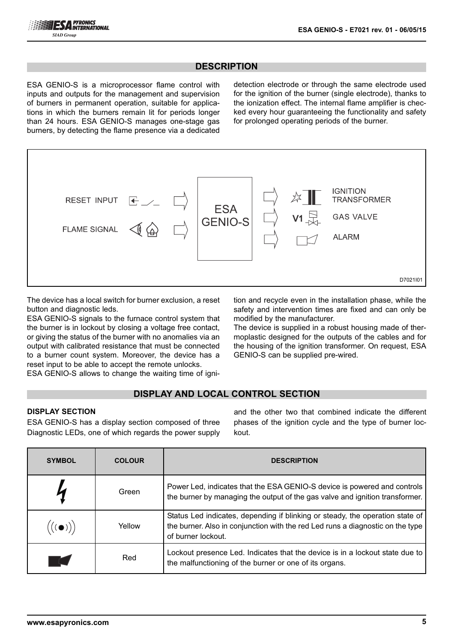# **DESCRIPTION**

ESA GENIO-S is a microprocessor flame control with inputs and outputs for the management and supervision of burners in permanent operation, suitable for applications in which the burners remain lit for periods longer than 24 hours. ESA GENIO-S manages one-stage gas burners, by detecting the flame presence via a dedicated

detection electrode or through the same electrode used for the ignition of the burner (single electrode), thanks to the ionization effect. The internal flame amplifier is checked every hour guaranteeing the functionality and safety for prolonged operating periods of the burner.



The device has a local switch for burner exclusion, a reset button and diagnostic leds.

ESA GENIO-S signals to the furnace control system that the burner is in lockout by closing a voltage free contact, or giving the status of the burner with no anomalies via an output with calibrated resistance that must be connected to a burner count system. Moreover, the device has a reset input to be able to accept the remote unlocks.

ESA GENIO-S allows to change the waiting time of igni-

tion and recycle even in the installation phase, while the safety and intervention times are fixed and can only be modified by the manufacturer.

The device is supplied in a robust housing made of thermoplastic designed for the outputs of the cables and for the housing of the ignition transformer. On request, ESA GENIO-S can be supplied pre-wired.

# **DISPLAY AND LOCAL CONTROL SECTION**

#### **DISPLAY SECTION**

ESA GENIO-S has a display section composed of three Diagnostic LEDs, one of which regards the power supply and the other two that combined indicate the different phases of the ignition cycle and the type of burner lockout.

| <b>SYMBOL</b> | <b>COLOUR</b> | <b>DESCRIPTION</b>                                                                                                                                                                    |
|---------------|---------------|---------------------------------------------------------------------------------------------------------------------------------------------------------------------------------------|
|               | Green         | Power Led, indicates that the ESA GENIO-S device is powered and controls<br>the burner by managing the output of the gas valve and ignition transformer.                              |
|               | Yellow        | Status Led indicates, depending if blinking or steady, the operation state of<br>the burner. Also in conjunction with the red Led runs a diagnostic on the type<br>of burner lockout. |
|               | Red           | Lockout presence Led. Indicates that the device is in a lockout state due to<br>the malfunctioning of the burner or one of its organs.                                                |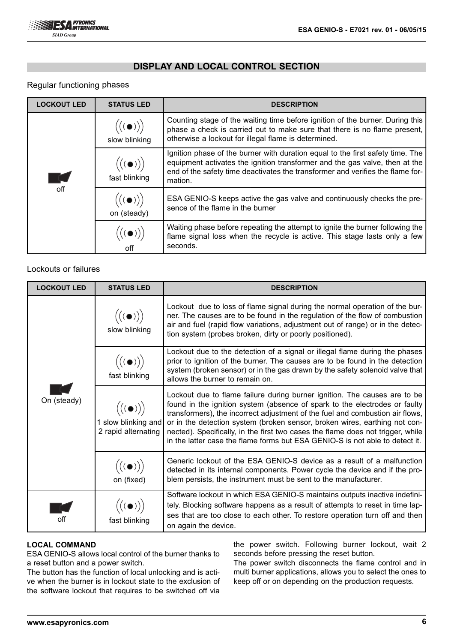## **DISPLAY AND LOCAL CONTROL SECTION**

#### Regular functioning phases

| <b>LOCKOUT LED</b> | <b>STATUS LED</b>                                    | <b>DESCRIPTION</b>                                                                                                                                                                                                                                         |
|--------------------|------------------------------------------------------|------------------------------------------------------------------------------------------------------------------------------------------------------------------------------------------------------------------------------------------------------------|
|                    | $\bigl(\bigl((\bullet)\bigr)\bigr)$<br>slow blinking | Counting stage of the waiting time before ignition of the burner. During this<br>phase a check is carried out to make sure that there is no flame present,<br>otherwise a lockout for illegal flame is determined.                                         |
| TC.                | $\Bigl(\bigl((\bullet)\bigr)\Bigr)$<br>fast blinking | Ignition phase of the burner with duration equal to the first safety time. The<br>equipment activates the ignition transformer and the gas valve, then at the<br>end of the safety time deactivates the transformer and verifies the flame for-<br>mation. |
| off                | on (steady)                                          | ESA GENIO-S keeps active the gas valve and continuously checks the pre-<br>sence of the flame in the burner                                                                                                                                                |
|                    |                                                      | Waiting phase before repeating the attempt to ignite the burner following the<br>flame signal loss when the recycle is active. This stage lasts only a few<br>seconds.                                                                                     |

#### Lockouts or failures

| <b>LOCKOUT LED</b> | <b>STATUS LED</b>                                                                                     | <b>DESCRIPTION</b>                                                                                                                                                                                                                                                                                                                                                                                                                                                                        |
|--------------------|-------------------------------------------------------------------------------------------------------|-------------------------------------------------------------------------------------------------------------------------------------------------------------------------------------------------------------------------------------------------------------------------------------------------------------------------------------------------------------------------------------------------------------------------------------------------------------------------------------------|
| On (steady)        | $((\bullet))$<br>slow blinking                                                                        | Lockout due to loss of flame signal during the normal operation of the bur-<br>ner. The causes are to be found in the regulation of the flow of combustion<br>air and fuel (rapid flow variations, adjustment out of range) or in the detec-<br>tion system (probes broken, dirty or poorly positioned).                                                                                                                                                                                  |
|                    | $\bigl(\bigl((\bullet)\bigr)\bigr)$<br>fast blinking                                                  | Lockout due to the detection of a signal or illegal flame during the phases<br>prior to ignition of the burner. The causes are to be found in the detection<br>system (broken sensor) or in the gas drawn by the safety solenoid valve that<br>allows the burner to remain on.                                                                                                                                                                                                            |
|                    | $\bigl( (\begin{matrix} (\bullet) \end{matrix}) \bigr)$<br>1 slow blinking and<br>2 rapid alternating | Lockout due to flame failure during burner ignition. The causes are to be<br>found in the ignition system (absence of spark to the electrodes or faulty<br>transformers), the incorrect adjustment of the fuel and combustion air flows,<br>or in the detection system (broken sensor, broken wires, earthing not con-<br>nected). Specifically, in the first two cases the flame does not trigger, while<br>in the latter case the flame forms but ESA GENIO-S is not able to detect it. |
|                    | $\bigl( (\begin{matrix} (\bullet) \end{matrix}) \bigr)$<br>on (fixed)                                 | Generic lockout of the ESA GENIO-S device as a result of a malfunction<br>detected in its internal components. Power cycle the device and if the pro-<br>blem persists, the instrument must be sent to the manufacturer.                                                                                                                                                                                                                                                                  |
| off                | $\bigl( \bigl( (\bullet) \bigr) \bigr)$<br>fast blinking                                              | Software lockout in which ESA GENIO-S maintains outputs inactive indefini-<br>tely. Blocking software happens as a result of attempts to reset in time lap-<br>ses that are too close to each other. To restore operation turn off and then<br>on again the device.                                                                                                                                                                                                                       |

#### **LOCAL COMMAND**

ESA GENIO-S allows local control of the burner thanks to a reset button and a power switch.

The button has the function of local unlocking and is active when the burner is in lockout state to the exclusion of the software lockout that requires to be switched off via

the power switch. Following burner lockout, wait 2 seconds before pressing the reset button.

The power switch disconnects the flame control and in multi burner applications, allows you to select the ones to keep off or on depending on the production requests.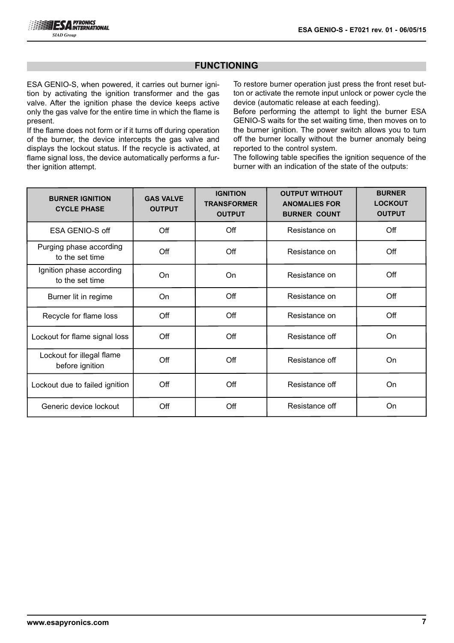#### **FUNCTIONING**

ESA GENIO-S, when powered, it carries out burner ignition by activating the ignition transformer and the gas valve. After the ignition phase the device keeps active only the gas valve for the entire time in which the flame is present.

If the flame does not form or if it turns off during operation of the burner, the device intercepts the gas valve and displays the lockout status. If the recycle is activated, at flame signal loss, the device automatically performs a further ignition attempt.

To restore burner operation just press the front reset button or activate the remote input unlock or power cycle the device (automatic release at each feeding).

Before performing the attempt to light the burner ESA GENIO-S waits for the set waiting time, then moves on to the burner ignition. The power switch allows you to turn off the burner locally without the burner anomaly being reported to the control system.

The following table specifies the ignition sequence of the burner with an indication of the state of the outputs:

| <b>BURNER IGNITION</b><br><b>CYCLE PHASE</b> | <b>GAS VALVE</b><br><b>OUTPUT</b> | <b>IGNITION</b><br><b>TRANSFORMER</b><br><b>OUTPUT</b> | <b>OUTPUT WITHOUT</b><br><b>ANOMALIES FOR</b><br><b>BURNER COUNT</b> | <b>BURNER</b><br><b>LOCKOUT</b><br><b>OUTPUT</b> |
|----------------------------------------------|-----------------------------------|--------------------------------------------------------|----------------------------------------------------------------------|--------------------------------------------------|
| ESA GENIO-S off                              | Off                               | Off                                                    | Resistance on                                                        | Off                                              |
| Purging phase according<br>to the set time   | Off                               | Off                                                    | Resistance on                                                        | Off                                              |
| Ignition phase according<br>to the set time  | On                                | On                                                     | Resistance on                                                        | Off                                              |
| Burner lit in regime                         | On                                | Off                                                    | Resistance on                                                        | Off                                              |
| Recycle for flame loss                       | Off                               | Off                                                    | Resistance on                                                        | Off                                              |
| Lockout for flame signal loss                | Off                               | Off                                                    | Resistance off                                                       | <b>On</b>                                        |
| Lockout for illegal flame<br>before ignition | Off                               | Off                                                    | Resistance off                                                       | <b>On</b>                                        |
| Lockout due to failed ignition               | Off                               | Off                                                    | Resistance off                                                       | On                                               |
| Generic device lockout                       | Off                               | Off                                                    | Resistance off                                                       | On                                               |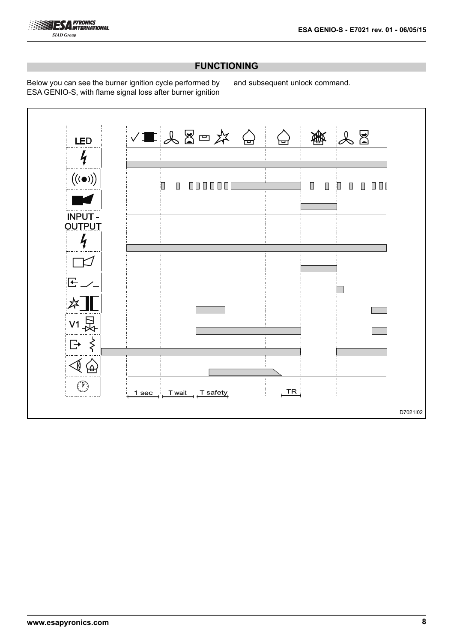

# **FUNCTIONING**

Below you can see the burner ignition cycle performed by ESA GENIO-S, with flame signal loss after burner ignition and subsequent unlock command.

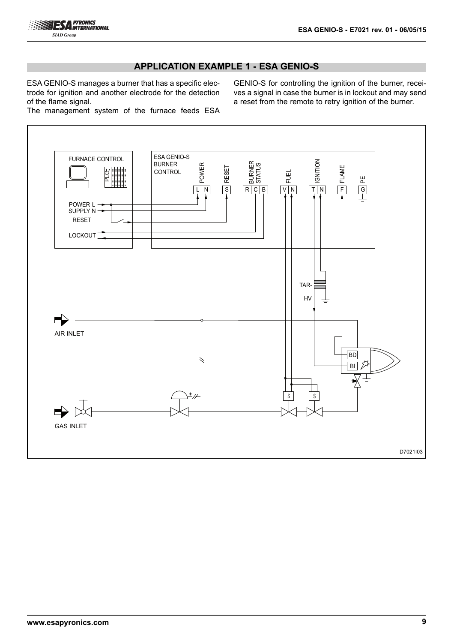

# **APPLICATION EXAMPLE 1 - ESA GENIO-S**

ESA GENIO-S manages a burner that has a specific electrode for ignition and another electrode for the detection of the flame signal.

GENIO-S for controlling the ignition of the burner, receives a signal in case the burner is in lockout and may send a reset from the remote to retry ignition of the burner.

The management system of the furnace feeds ESA

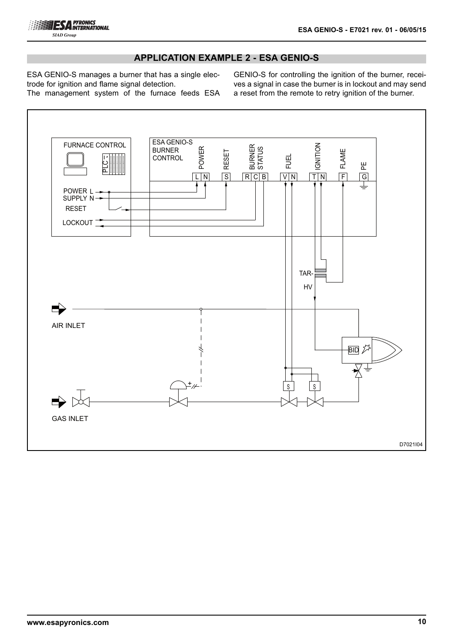

### **APPLICATION EXAMPLE 2 - ESA GENIO-S**

ESA GENIO-S manages a burner that has a single electrode for ignition and flame signal detection.

The management system of the furnace feeds ESA

GENIO-S for controlling the ignition of the burner, receives a signal in case the burner is in lockout and may send a reset from the remote to retry ignition of the burner.

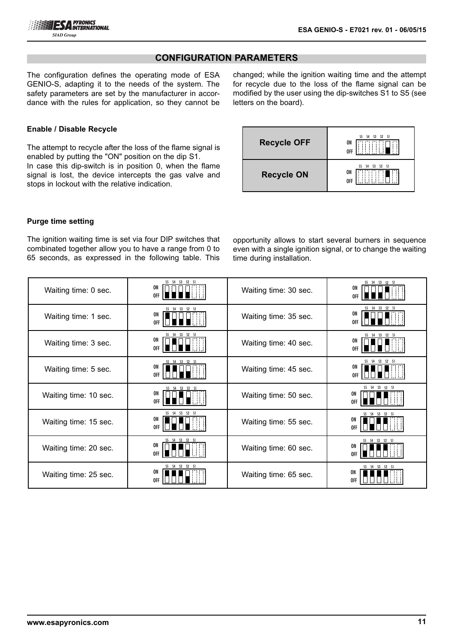# **CONFIGURATION PARAMETERS**

The configuration defines the operating mode of ESA GENIO-S, adapting it to the needs of the system. The safety parameters are set by the manufacturer in accordance with the rules for application, so they cannot be changed; while the ignition waiting time and the attempt for recycle due to the loss of the flame signal can be modified by the user using the dip-switches S1 to S5 (see letters on the board).



The attempt to recycle after the loss of the flame signal is enabled by putting the "ON" position on the dip S1. In case this dip-switch is in position 0, when the flame signal is lost, the device intercepts the gas valve and stops in lockout with the relative indication.

| <b>Recycle OFF</b> | S5 S4 S3 S2 S1<br>ON<br>0FF                                 |
|--------------------|-------------------------------------------------------------|
| <b>Recycle ON</b>  | - 51<br>S3<br>S <sub>4</sub><br>S <sub>2</sub><br>ON<br>0FF |

#### **Purge time setting**

The ignition waiting time is set via four DIP switches that combinated together allow you to have a range from 0 to 65 seconds, as expressed in the following table. This opportunity allows to start several burners in sequence even with a single ignition signal, or to change the waiting time during installation.

| Waiting time: 0 sec.  | S5 S4 S3 S2 S1<br>ON.<br>0FF       | Waiting time: 30 sec. | S5 S4 S3 S2 S1<br>ON<br>0FF        |
|-----------------------|------------------------------------|-----------------------|------------------------------------|
| Waiting time: 1 sec.  | S5 S4 S3 S2 S1<br>ON<br>0FF        | Waiting time: 35 sec. | S5 S4 S3 S2 S1<br>ON<br><b>OFF</b> |
| Waiting time: 3 sec.  | S5 S4 S3 S2 S1<br><b>ON</b><br>0FF | Waiting time: 40 sec. | S5 S4 S3 S2 S1<br>ON<br>0FF        |
| Waiting time: 5 sec.  | S5 S4 S3 S2 S1<br>ON.<br>0FF       | Waiting time: 45 sec. | S5 S4 S3 S2 S1<br>ON.<br>0FF       |
| Waiting time: 10 sec. | S5 S4 S3 S2 S1<br>ON<br>0FF        | Waiting time: 50 sec. | S5 S4 S3 S2 S1<br>ON<br>0FF        |
| Waiting time: 15 sec. | S5 S4 S3 S2 S1<br>ON<br>0FF        | Waiting time: 55 sec. | S5 S4 S3 S2 S1<br>ON<br><b>OFF</b> |
| Waiting time: 20 sec. | S5 S4 S3 S2 S1<br>ON<br>0FF        | Waiting time: 60 sec. | S5 S4 S3 S2 S1<br>ON<br>0FF        |
| Waiting time: 25 sec. | S5 S4 S3 S2 S1<br>ON<br>0FF        | Waiting time: 65 sec. | S5 S4 S3 S2 S1<br>ON<br>0FF        |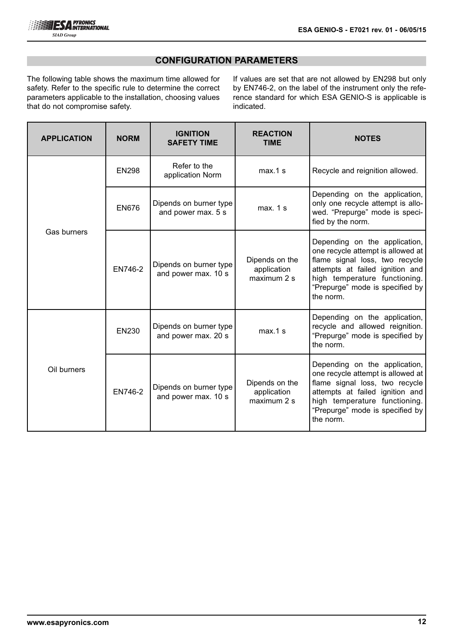# **CONFIGURATION PARAMETERS**

The following table shows the maximum time allowed for safety. Refer to the specific rule to determine the correct parameters applicable to the installation, choosing values that do not compromise safety.

If values are set that are not allowed by EN298 but only by EN746-2, on the label of the instrument only the reference standard for which ESA GENIO-S is applicable is indicated.

| <b>APPLICATION</b> | <b>NORM</b>  | <b>IGNITION</b><br><b>SAFETY TIME</b>         | <b>REACTION</b><br><b>TIME</b>               | <b>NOTES</b>                                                                                                                                                                                                             |
|--------------------|--------------|-----------------------------------------------|----------------------------------------------|--------------------------------------------------------------------------------------------------------------------------------------------------------------------------------------------------------------------------|
|                    | <b>EN298</b> | Refer to the<br>application Norm              | $max.1$ s                                    | Recycle and reignition allowed.                                                                                                                                                                                          |
|                    | EN676        | Dipends on burner type<br>and power max. 5 s  | max. 1 s                                     | Depending on the application,<br>only one recycle attempt is allo-<br>wed. "Prepurge" mode is speci-<br>fied by the norm.                                                                                                |
| Gas burners        | EN746-2      | Dipends on burner type<br>and power max. 10 s | Dipends on the<br>application<br>maximum 2 s | Depending on the application,<br>one recycle attempt is allowed at<br>flame signal loss, two recycle<br>attempts at failed ignition and<br>high temperature functioning.<br>"Prepurge" mode is specified by<br>the norm. |
|                    | <b>EN230</b> | Dipends on burner type<br>and power max. 20 s | $max.1$ s                                    | Depending on the application,<br>recycle and allowed reignition.<br>"Prepurge" mode is specified by<br>the norm.                                                                                                         |
| Oil burners        | EN746-2      | Dipends on burner type<br>and power max. 10 s | Dipends on the<br>application<br>maximum 2 s | Depending on the application,<br>one recycle attempt is allowed at<br>flame signal loss, two recycle<br>attempts at failed ignition and<br>high temperature functioning.<br>"Prepurge" mode is specified by<br>the norm. |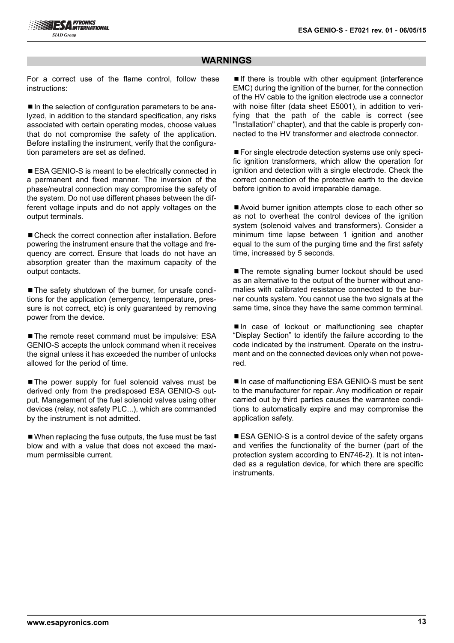#### **WARNINGS**

For a correct use of the flame control, follow these instructions:

■ In the selection of configuration parameters to be analyzed, in addition to the standard specification, any risks associated with certain operating modes, choose values that do not compromise the safety of the application. Before installing the instrument, verify that the configuration parameters are set as defined.

■ ESA GENIO-S is meant to be electrically connected in a permanent and fixed manner. The inversion of the phase/neutral connection may compromise the safety of the system. Do not use different phases between the different voltage inputs and do not apply voltages on the output terminals.

■ Check the correct connection after installation. Before powering the instrument ensure that the voltage and frequency are correct. Ensure that loads do not have an absorption greater than the maximum capacity of the output contacts.

■ The safety shutdown of the burner, for unsafe conditions for the application (emergency, temperature, pressure is not correct, etc) is only guaranteed by removing power from the device.

■ The remote reset command must be impulsive: ESA GENIO-S accepts the unlock command when it receives the signal unless it has exceeded the number of unlocks allowed for the period of time.

■ The power supply for fuel solenoid valves must be derived only from the predisposed ESA GENIO-S output. Management of the fuel solenoid valves using other devices (relay, not safety PLC...), which are commanded by the instrument is not admitted.

■ When replacing the fuse outputs, the fuse must be fast blow and with a value that does not exceed the maximum permissible current.

 $\blacksquare$ If there is trouble with other equipment (interference EMC) during the ignition of the burner, for the connection of the HV cable to the ignition electrode use a connector with noise filter (data sheet E5001), in addition to verifying that the path of the cable is correct (see "Installation" chapter), and that the cable is properly connected to the HV transformer and electrode connector.

■ For single electrode detection systems use only specific ignition transformers, which allow the operation for ignition and detection with a single electrode. Check the correct connection of the protective earth to the device before ignition to avoid irreparable damage.

■Avoid burner ignition attempts close to each other so as not to overheat the control devices of the ignition system (solenoid valves and transformers). Consider a minimum time lapse between 1 ignition and another equal to the sum of the purging time and the first safety time, increased by 5 seconds.

■ The remote signaling burner lockout should be used as an alternative to the output of the burner without anomalies with calibrated resistance connected to the burner counts system. You cannot use the two signals at the same time, since they have the same common terminal.

■In case of lockout or malfunctioning see chapter "Display Section" to identify the failure according to the code indicated by the instrument. Operate on the instrument and on the connected devices only when not powered.

■ In case of malfunctioning ESA GENIO-S must be sent to the manufacturer for repair. Any modification or repair carried out by third parties causes the warrantee conditions to automatically expire and may compromise the application safety.

■ ESA GENIO-S is a control device of the safety organs and verifies the functionality of the burner (part of the protection system according to EN746-2). It is not intended as a regulation device, for which there are specific instruments.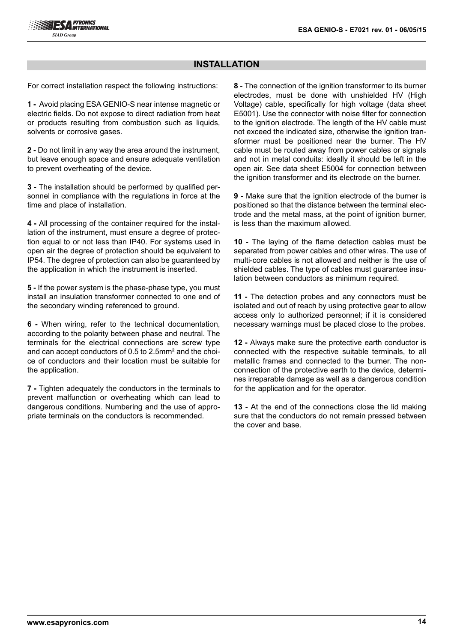# **INSTALLATION**

For correct installation respect the following instructions:

**1 -** Avoid placing ESA GENIO-S near intense magnetic or electric fields. Do not expose to direct radiation from heat or products resulting from combustion such as liquids, solvents or corrosive gases.

**2 -** Do not limit in any way the area around the instrument, but leave enough space and ensure adequate ventilation to prevent overheating of the device.

**3 -** The installation should be performed by qualified personnel in compliance with the regulations in force at the time and place of installation.

**4 -** All processing of the container required for the installation of the instrument, must ensure a degree of protection equal to or not less than IP40. For systems used in open air the degree of protection should be equivalent to IP54. The degree of protection can also be guaranteed by the application in which the instrument is inserted.

**5 -** If the power system is the phase-phase type, you must install an insulation transformer connected to one end of the secondary winding referenced to ground.

**6 -** When wiring, refer to the technical documentation, according to the polarity between phase and neutral. The terminals for the electrical connections are screw type and can accept conductors of 0.5 to 2.5mm² and the choice of conductors and their location must be suitable for the application.

**7 -** Tighten adequately the conductors in the terminals to prevent malfunction or overheating which can lead to dangerous conditions. Numbering and the use of appropriate terminals on the conductors is recommended.

**8 -** The connection of the ignition transformer to its burner electrodes, must be done with unshielded HV (High Voltage) cable, specifically for high voltage (data sheet E5001). Use the connector with noise filter for connection to the ignition electrode. The length of the HV cable must not exceed the indicated size, otherwise the ignition transformer must be positioned near the burner. The HV cable must be routed away from power cables or signals and not in metal conduits: ideally it should be left in the open air. See data sheet E5004 for connection between the ignition transformer and its electrode on the burner.

**9 -** Make sure that the ignition electrode of the burner is positioned so that the distance between the terminal electrode and the metal mass, at the point of ignition burner. is less than the maximum allowed.

**10 -** The laying of the flame detection cables must be separated from power cables and other wires. The use of multi-core cables is not allowed and neither is the use of shielded cables. The type of cables must guarantee insulation between conductors as minimum required.

**11 -** The detection probes and any connectors must be isolated and out of reach by using protective gear to allow access only to authorized personnel; if it is considered necessary warnings must be placed close to the probes.

**12 -** Always make sure the protective earth conductor is connected with the respective suitable terminals, to all metallic frames and connected to the burner. The nonconnection of the protective earth to the device, determines irreparable damage as well as a dangerous condition for the application and for the operator.

**13 -** At the end of the connections close the lid making sure that the conductors do not remain pressed between the cover and base.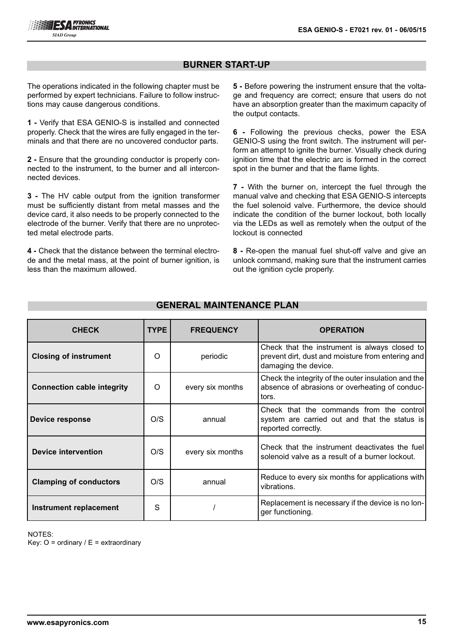# **BURNER START-UP**

The operations indicated in the following chapter must be performed by expert technicians. Failure to follow instructions may cause dangerous conditions.

**1 -** Verify that ESA GENIO-S is installed and connected properly. Check that the wires are fully engaged in the terminals and that there are no uncovered conductor parts.

**2 -** Ensure that the grounding conductor is properly connected to the instrument, to the burner and all interconnected devices.

**3 -** The HV cable output from the ignition transformer must be sufficiently distant from metal masses and the device card, it also needs to be properly connected to the electrode of the burner. Verify that there are no unprotected metal electrode parts.

**4 -** Check that the distance between the terminal electrode and the metal mass, at the point of burner ignition, is less than the maximum allowed.

**5 -** Before powering the instrument ensure that the voltage and frequency are correct; ensure that users do not have an absorption greater than the maximum capacity of the output contacts.

**6 -** Following the previous checks, power the ESA GENIO-S using the front switch. The instrument will perform an attempt to ignite the burner. Visually check during ignition time that the electric arc is formed in the correct spot in the burner and that the flame lights.

**7 -** With the burner on, intercept the fuel through the manual valve and checking that ESA GENIO-S intercepts the fuel solenoid valve. Furthermore, the device should indicate the condition of the burner lockout, both locally via the LEDs as well as remotely when the output of the lockout is connected

**8 -** Re-open the manual fuel shut-off valve and give an unlock command, making sure that the instrument carries out the ignition cycle properly.

| <b>CHECK</b>                      | <b>TYPE</b> | <b>FREQUENCY</b> | <b>OPERATION</b>                                                                                                           |
|-----------------------------------|-------------|------------------|----------------------------------------------------------------------------------------------------------------------------|
| <b>Closing of instrument</b>      | $\Omega$    | periodic         | Check that the instrument is always closed to<br>prevent dirt, dust and moisture from entering and<br>damaging the device. |
| <b>Connection cable integrity</b> | O           | every six months | Check the integrity of the outer insulation and the<br>absence of abrasions or overheating of conduc-<br>tors.             |
| Device response                   | O/S         | annual           | Check that the commands from the control<br>system are carried out and that the status is<br>reported correctly.           |
| <b>Device intervention</b>        | O/S         | every six months | Check that the instrument deactivates the fuell<br>solenoid valve as a result of a burner lockout.                         |
| <b>Clamping of conductors</b>     | O/S         | annual           | Reduce to every six months for applications with<br>vibrations.                                                            |
| <b>Instrument replacement</b>     | S           |                  | Replacement is necessary if the device is no lon-<br>ger functioning.                                                      |

# **GENERAL MAINTENANCE PLAN**

NOTES:

Key:  $O =$  ordinary /  $E =$  extraordinary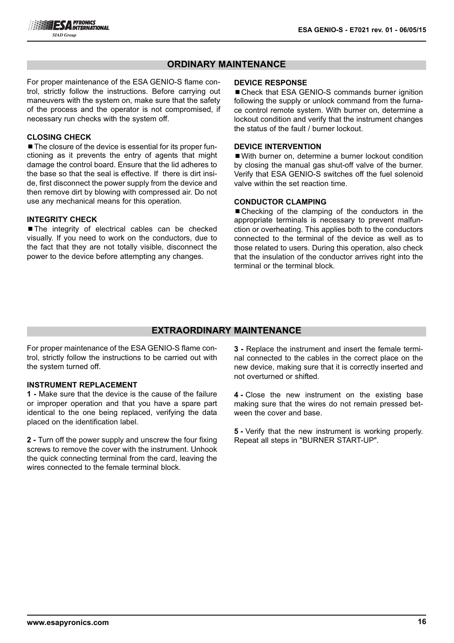# **ORDINARY MAINTENANCE**

For proper maintenance of the ESA GENIO-S flame control, strictly follow the instructions. Before carrying out maneuvers with the system on, make sure that the safety of the process and the operator is not compromised, if necessary run checks with the system off.

#### **CLOSING CHECK**

■ The closure of the device is essential for its proper functioning as it prevents the entry of agents that might damage the control board. Ensure that the lid adheres to the base so that the seal is effective. If there is dirt inside, first disconnect the power supply from the device and then remove dirt by blowing with compressed air. Do not use any mechanical means for this operation.

#### **INTEGRITY CHECK**

■The integrity of electrical cables can be checked visually. If you need to work on the conductors, due to the fact that they are not totally visible, disconnect the power to the device before attempting any changes.

#### **DEVICE RESPONSE**

■ Check that ESA GENIO-S commands burner ignition following the supply or unlock command from the furnace control remote system. With burner on, determine a lockout condition and verify that the instrument changes the status of the fault / burner lockout.

#### **DEVICE INTERVENTION**

■ With burner on, determine a burner lockout condition by closing the manual gas shut-off valve of the burner. Verify that ESA GENIO-S switches off the fuel solenoid valve within the set reaction time.

#### **CONDUCTOR CLAMPING**

■Checking of the clamping of the conductors in the appropriate terminals is necessary to prevent malfunction or overheating. This applies both to the conductors connected to the terminal of the device as well as to those related to users. During this operation, also check that the insulation of the conductor arrives right into the terminal or the terminal block.

#### **EXTRAORDINARY MAINTENANCE**

For proper maintenance of the ESA GENIO-S flame control, strictly follow the instructions to be carried out with the system turned off.

#### **INSTRUMENT REPLACEMENT**

**1 -** Make sure that the device is the cause of the failure or improper operation and that you have a spare part identical to the one being replaced, verifying the data placed on the identification label.

**2 -** Turn off the power supply and unscrew the four fixing screws to remove the cover with the instrument. Unhook the quick connecting terminal from the card, leaving the wires connected to the female terminal block.

**3 -** Replace the instrument and insert the female terminal connected to the cables in the correct place on the new device, making sure that it is correctly inserted and not overturned or shifted.

**4 -** Close the new instrument on the existing base making sure that the wires do not remain pressed between the cover and base.

**5 -** Verify that the new instrument is working properly. Repeat all steps in "BURNER START-UP".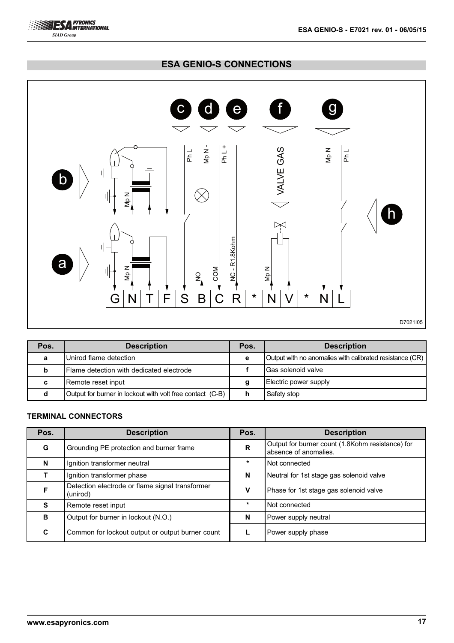



| Pos. | <b>Description</b>                                        | Pos. | <b>Description</b>                                       |
|------|-----------------------------------------------------------|------|----------------------------------------------------------|
| a    | Unirod flame detection                                    | е    | Output with no anomalies with calibrated resistance (CR) |
| b    | <b>IFlame detection with dedicated electrode</b>          |      | <b>IGas solenoid valve</b>                               |
| c    | Remote reset input                                        |      | Electric power supply                                    |
|      | Output for burner in lockout with volt free contact (C-B) |      | Safety stop                                              |

# **TERMINAL CONNECTORS**

**ESA PYRONICS SIAD Group** 

| Pos. | <b>Description</b>                                          | Pos.        | <b>Description</b>                                                        |
|------|-------------------------------------------------------------|-------------|---------------------------------------------------------------------------|
| G    | Grounding PE protection and burner frame                    | $\mathbf R$ | Output for burner count (1.8Kohm resistance) for<br>absence of anomalies. |
| N    | Ignition transformer neutral                                | $\ast$      | Not connected                                                             |
|      | Ignition transformer phase                                  | N           | Neutral for 1st stage gas solenoid valve                                  |
| F    | Detection electrode or flame signal transformer<br>(unirod) | v           | Phase for 1st stage gas solenoid valve                                    |
| S    | Remote reset input                                          | $\ast$      | Not connected                                                             |
| B    | Output for burner in lockout (N.O.)                         | N           | Power supply neutral                                                      |
| C    | Common for lockout output or output burner count            |             | Power supply phase                                                        |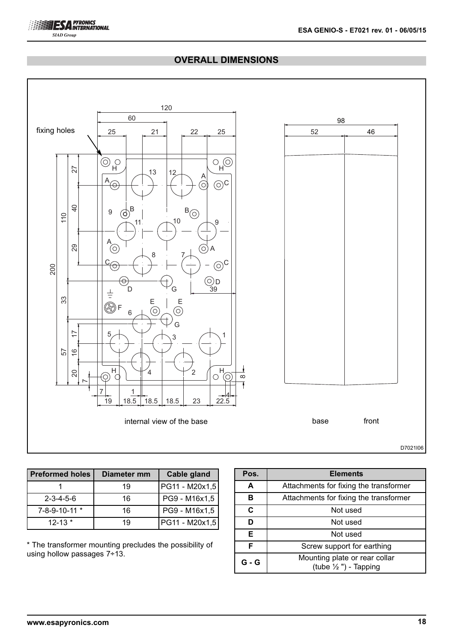# **OVERALL DIMENSIONS**



| Preformed holes     | Diameter mm | Cable gland    |
|---------------------|-------------|----------------|
|                     | 19          | PG11 - M20x1,5 |
| $2 - 3 - 4 - 5 - 6$ | 16          | PG9 - M16x1,5  |
| 7-8-9-10-11 *       | 16          | PG9 - M16x1,5  |
| $12 - 13$ *         | 19          | PG11 - M20x1,5 |

\* The transformer mounting precludes the possibility of using hollow passages 7÷13.

| Pos.  | <b>Elements</b>                                                   |  |  |  |  |  |  |
|-------|-------------------------------------------------------------------|--|--|--|--|--|--|
| A     | Attachments for fixing the transformer                            |  |  |  |  |  |  |
| в     | Attachments for fixing the transformer                            |  |  |  |  |  |  |
| C     | Not used                                                          |  |  |  |  |  |  |
| D     | Not used                                                          |  |  |  |  |  |  |
| Е     | Not used                                                          |  |  |  |  |  |  |
| F     | Screw support for earthing                                        |  |  |  |  |  |  |
| G - G | Mounting plate or rear collar<br>(tube $\frac{1}{2}$ ") - Tapping |  |  |  |  |  |  |